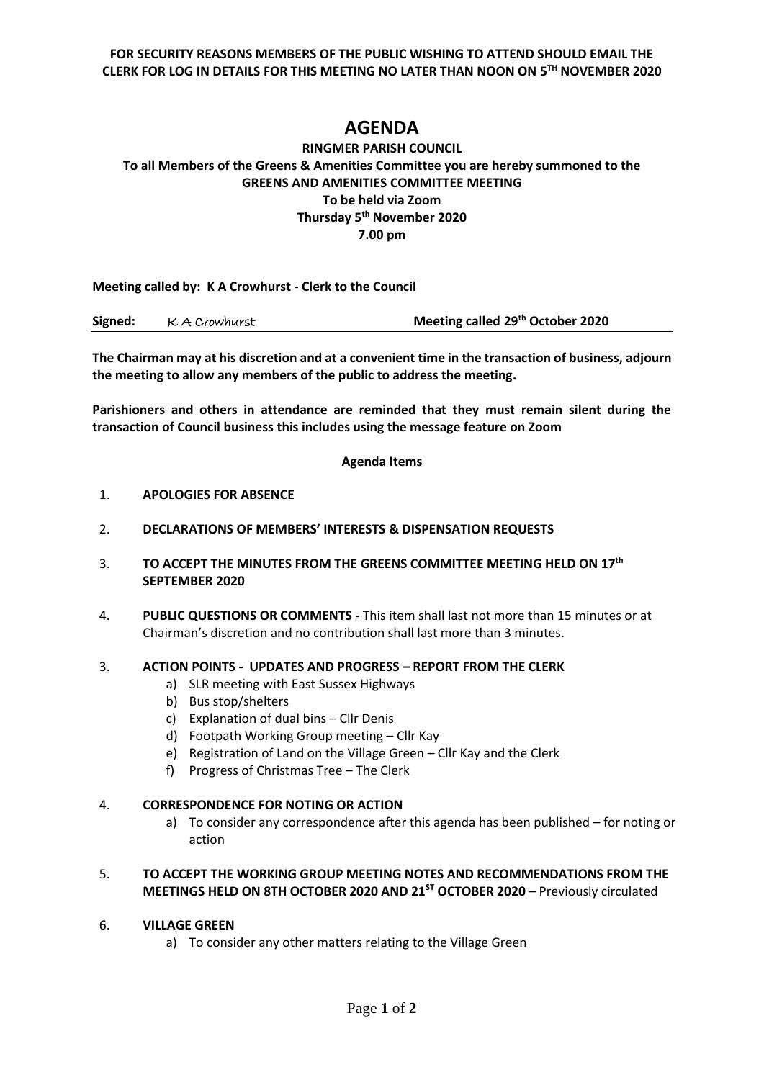**FOR SECURITY REASONS MEMBERS OF THE PUBLIC WISHING TO ATTEND SHOULD EMAIL THE CLERK FOR LOG IN DETAILS FOR THIS MEETING NO LATER THAN NOON ON 5 TH NOVEMBER 2020**

# **AGENDA**

# **RINGMER PARISH COUNCIL To all Members of the Greens & Amenities Committee you are hereby summoned to the GREENS AND AMENITIES COMMITTEE MEETING To be held via Zoom Thursday 5 th November 2020 7.00 pm**

**Meeting called by: K A Crowhurst - Clerk to the Council** 

| Signed: | K A Crowhurst | Meeting called 29 <sup>th</sup> October 2020 |
|---------|---------------|----------------------------------------------|
|---------|---------------|----------------------------------------------|

**The Chairman may at his discretion and at a convenient time in the transaction of business, adjourn the meeting to allow any members of the public to address the meeting.**

**Parishioners and others in attendance are reminded that they must remain silent during the transaction of Council business this includes using the message feature on Zoom**

#### **Agenda Items**

#### 1. **APOLOGIES FOR ABSENCE**

- 2. **DECLARATIONS OF MEMBERS' INTERESTS & DISPENSATION REQUESTS**
- 3. **TO ACCEPT THE MINUTES FROM THE GREENS COMMITTEE MEETING HELD ON 17th SEPTEMBER 2020**
- 4. **PUBLIC QUESTIONS OR COMMENTS -** This item shall last not more than 15 minutes or at Chairman's discretion and no contribution shall last more than 3 minutes.

### 3. **ACTION POINTS - UPDATES AND PROGRESS – REPORT FROM THE CLERK**

- a) SLR meeting with East Sussex Highways
- b) Bus stop/shelters
- c) Explanation of dual bins Cllr Denis
- d) Footpath Working Group meeting Cllr Kay
- e) Registration of Land on the Village Green Cllr Kay and the Clerk
- f) Progress of Christmas Tree The Clerk

### 4. **CORRESPONDENCE FOR NOTING OR ACTION**

a) To consider any correspondence after this agenda has been published – for noting or action

## 5. **TO ACCEPT THE WORKING GROUP MEETING NOTES AND RECOMMENDATIONS FROM THE MEETINGS HELD ON 8TH OCTOBER 2020 AND 21ST OCTOBER 2020** – Previously circulated

### 6. **VILLAGE GREEN**

a) To consider any other matters relating to the Village Green